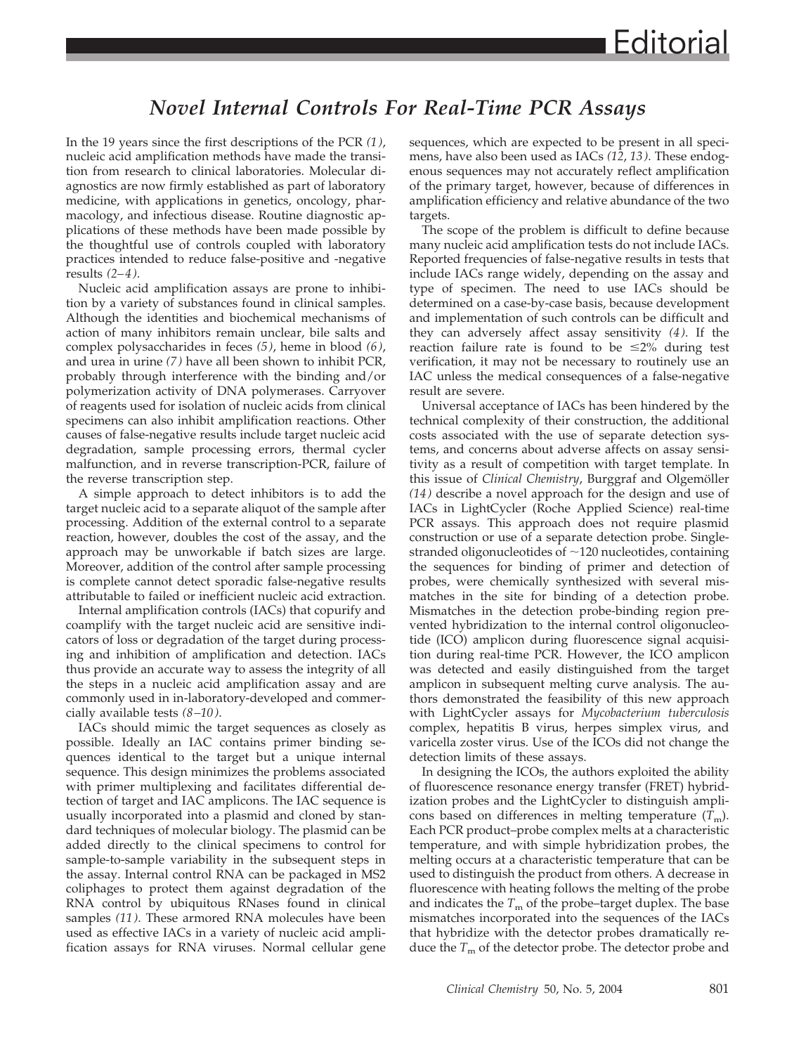## *Novel Internal Controls For Real-Time PCR Assays*

In the 19 years since the first descriptions of the PCR *(1)*, nucleic acid amplification methods have made the transition from research to clinical laboratories. Molecular diagnostics are now firmly established as part of laboratory medicine, with applications in genetics, oncology, pharmacology, and infectious disease. Routine diagnostic applications of these methods have been made possible by the thoughtful use of controls coupled with laboratory practices intended to reduce false-positive and -negative results *(2–4)*.

Nucleic acid amplification assays are prone to inhibition by a variety of substances found in clinical samples. Although the identities and biochemical mechanisms of action of many inhibitors remain unclear, bile salts and complex polysaccharides in feces *(5)*, heme in blood *(6)*, and urea in urine *(7)* have all been shown to inhibit PCR, probably through interference with the binding and/or polymerization activity of DNA polymerases. Carryover of reagents used for isolation of nucleic acids from clinical specimens can also inhibit amplification reactions. Other causes of false-negative results include target nucleic acid degradation, sample processing errors, thermal cycler malfunction, and in reverse transcription-PCR, failure of the reverse transcription step.

A simple approach to detect inhibitors is to add the target nucleic acid to a separate aliquot of the sample after processing. Addition of the external control to a separate reaction, however, doubles the cost of the assay, and the approach may be unworkable if batch sizes are large. Moreover, addition of the control after sample processing is complete cannot detect sporadic false-negative results attributable to failed or inefficient nucleic acid extraction.

Internal amplification controls (IACs) that copurify and coamplify with the target nucleic acid are sensitive indicators of loss or degradation of the target during processing and inhibition of amplification and detection. IACs thus provide an accurate way to assess the integrity of all the steps in a nucleic acid amplification assay and are commonly used in in-laboratory-developed and commercially available tests *(8–10)*.

IACs should mimic the target sequences as closely as possible. Ideally an IAC contains primer binding sequences identical to the target but a unique internal sequence. This design minimizes the problems associated with primer multiplexing and facilitates differential detection of target and IAC amplicons. The IAC sequence is usually incorporated into a plasmid and cloned by standard techniques of molecular biology. The plasmid can be added directly to the clinical specimens to control for sample-to-sample variability in the subsequent steps in the assay. Internal control RNA can be packaged in MS2 coliphages to protect them against degradation of the RNA control by ubiquitous RNases found in clinical samples *(11)*. These armored RNA molecules have been used as effective IACs in a variety of nucleic acid amplification assays for RNA viruses. Normal cellular gene

sequences, which are expected to be present in all specimens, have also been used as IACs *(12*, *13)*. These endogenous sequences may not accurately reflect amplification of the primary target, however, because of differences in amplification efficiency and relative abundance of the two targets.

The scope of the problem is difficult to define because many nucleic acid amplification tests do not include IACs. Reported frequencies of false-negative results in tests that include IACs range widely, depending on the assay and type of specimen. The need to use IACs should be determined on a case-by-case basis, because development and implementation of such controls can be difficult and they can adversely affect assay sensitivity *(4)*. If the reaction failure rate is found to be  $\leq 2\%$  during test verification, it may not be necessary to routinely use an IAC unless the medical consequences of a false-negative result are severe.

Universal acceptance of IACs has been hindered by the technical complexity of their construction, the additional costs associated with the use of separate detection systems, and concerns about adverse affects on assay sensitivity as a result of competition with target template. In this issue of *Clinical Chemistry*, Burggraf and Olgemöller *(14)* describe a novel approach for the design and use of IACs in LightCycler (Roche Applied Science) real-time PCR assays. This approach does not require plasmid construction or use of a separate detection probe. Singlestranded oligonucleotides of  $\sim$ 120 nucleotides, containing the sequences for binding of primer and detection of probes, were chemically synthesized with several mismatches in the site for binding of a detection probe. Mismatches in the detection probe-binding region prevented hybridization to the internal control oligonucleotide (ICO) amplicon during fluorescence signal acquisition during real-time PCR. However, the ICO amplicon was detected and easily distinguished from the target amplicon in subsequent melting curve analysis. The authors demonstrated the feasibility of this new approach with LightCycler assays for *Mycobacterium tuberculosis* complex, hepatitis B virus, herpes simplex virus, and varicella zoster virus. Use of the ICOs did not change the detection limits of these assays.

In designing the ICOs, the authors exploited the ability of fluorescence resonance energy transfer (FRET) hybridization probes and the LightCycler to distinguish amplicons based on differences in melting temperature  $(T<sub>m</sub>)$ . Each PCR product–probe complex melts at a characteristic temperature, and with simple hybridization probes, the melting occurs at a characteristic temperature that can be used to distinguish the product from others. A decrease in fluorescence with heating follows the melting of the probe and indicates the  $T<sub>m</sub>$  of the probe–target duplex. The base mismatches incorporated into the sequences of the IACs that hybridize with the detector probes dramatically reduce the  $T<sub>m</sub>$  of the detector probe. The detector probe and